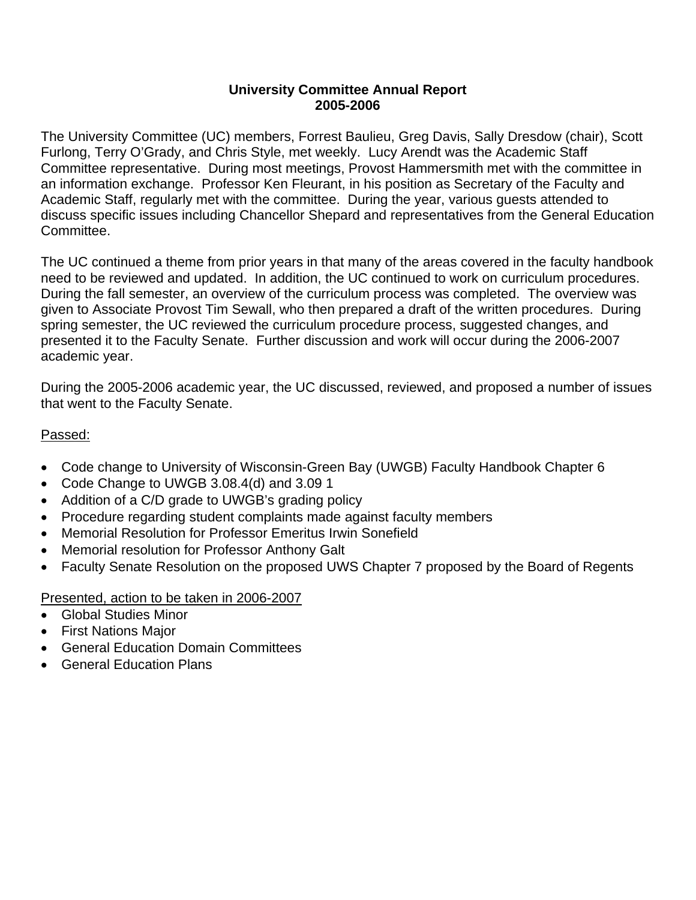## **University Committee Annual Report 2005-2006**

The University Committee (UC) members, Forrest Baulieu, Greg Davis, Sally Dresdow (chair), Scott Furlong, Terry O'Grady, and Chris Style, met weekly. Lucy Arendt was the Academic Staff Committee representative. During most meetings, Provost Hammersmith met with the committee in an information exchange. Professor Ken Fleurant, in his position as Secretary of the Faculty and Academic Staff, regularly met with the committee. During the year, various guests attended to discuss specific issues including Chancellor Shepard and representatives from the General Education Committee.

The UC continued a theme from prior years in that many of the areas covered in the faculty handbook need to be reviewed and updated. In addition, the UC continued to work on curriculum procedures. During the fall semester, an overview of the curriculum process was completed. The overview was given to Associate Provost Tim Sewall, who then prepared a draft of the written procedures. During spring semester, the UC reviewed the curriculum procedure process, suggested changes, and presented it to the Faculty Senate. Further discussion and work will occur during the 2006-2007 academic year.

During the 2005-2006 academic year, the UC discussed, reviewed, and proposed a number of issues that went to the Faculty Senate.

## Passed:

- Code change to University of Wisconsin-Green Bay (UWGB) Faculty Handbook Chapter 6
- Code Change to UWGB 3.08.4(d) and 3.09 1
- Addition of a C/D grade to UWGB's grading policy
- Procedure regarding student complaints made against faculty members
- Memorial Resolution for Professor Emeritus Irwin Sonefield
- Memorial resolution for Professor Anthony Galt
- Faculty Senate Resolution on the proposed UWS Chapter 7 proposed by the Board of Regents

## Presented, action to be taken in 2006-2007

- Global Studies Minor
- First Nations Major
- General Education Domain Committees
- General Education Plans